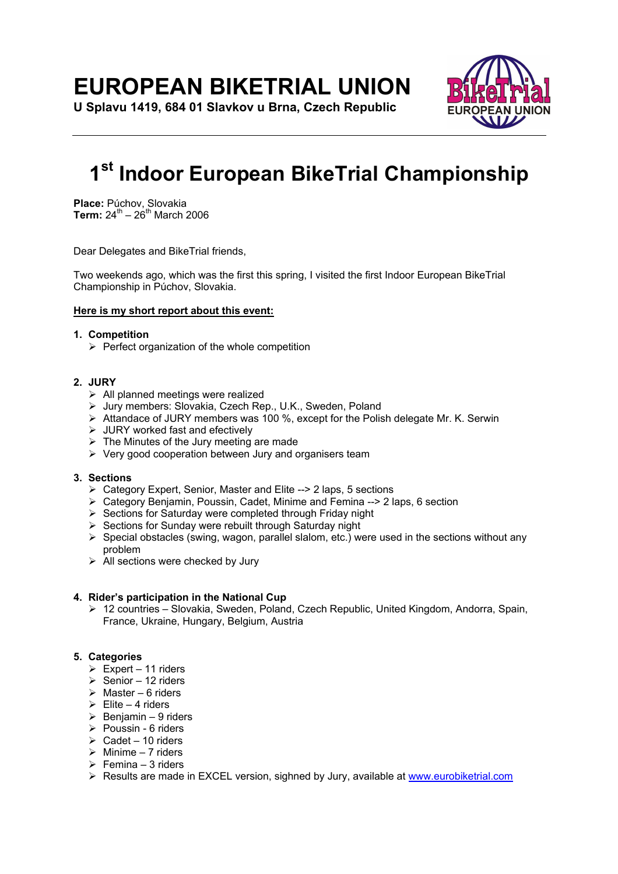## **EUROPEAN BIKETRIAL UNION**

**U Splavu 1419, 684 01 Slavkov u Brna, Czech Republic** 



# **1st Indoor European BikeTrial Championship**

**Place:** Púchov, Slovakia **Term:** 24<sup>th</sup> – 26<sup>th</sup> March 2006

Dear Delegates and BikeTrial friends,

Two weekends ago, which was the first this spring, I visited the first Indoor European BikeTrial Championship in Púchov, Slovakia.

## **Here is my short report about this event:**

## **1. Competition**

 $\triangleright$  Perfect organization of the whole competition

## **2. JURY**

- $\triangleright$  All planned meetings were realized
- ¾ Jury members: Slovakia, Czech Rep., U.K., Sweden, Poland
- $\triangleright$  Attandace of JURY members was 100 %, except for the Polish delegate Mr. K. Serwin
- $\triangleright$  JURY worked fast and efectively
- $\triangleright$  The Minutes of the Jury meeting are made
- $\triangleright$  Very good cooperation between Jury and organisers team

#### **3. Sections**

- ¾ Category Expert, Senior, Master and Elite --> 2 laps, 5 sections
- ¾ Category Benjamin, Poussin, Cadet, Minime and Femina --> 2 laps, 6 section
- $\triangleright$  Sections for Saturday were completed through Friday night
- $\triangleright$  Sections for Sunday were rebuilt through Saturday night
- $\triangleright$  Special obstacles (swing, wagon, parallel slalom, etc.) were used in the sections without any problem
- $\triangleright$  All sections were checked by Jury

## **4. Rider's participation in the National Cup**

¾ 12 countries – Slovakia, Sweden, Poland, Czech Republic, United Kingdom, Andorra, Spain, France, Ukraine, Hungary, Belgium, Austria

## **5. Categories**

- $\triangleright$  Expert 11 riders
- $\triangleright$  Senior 12 riders
- $\geq$  Master 6 riders
- $\triangleright$  Elite 4 riders
- $\geq$  Benjamin 9 riders
- $\triangleright$  Poussin 6 riders
- $\geq$  Cadet 10 riders
- $\triangleright$  Minime 7 riders
- $\triangleright$  Femina 3 riders
- $\triangleright$  Results are made in EXCEL version, sighned by Jury, available at www.eurobiketrial.com